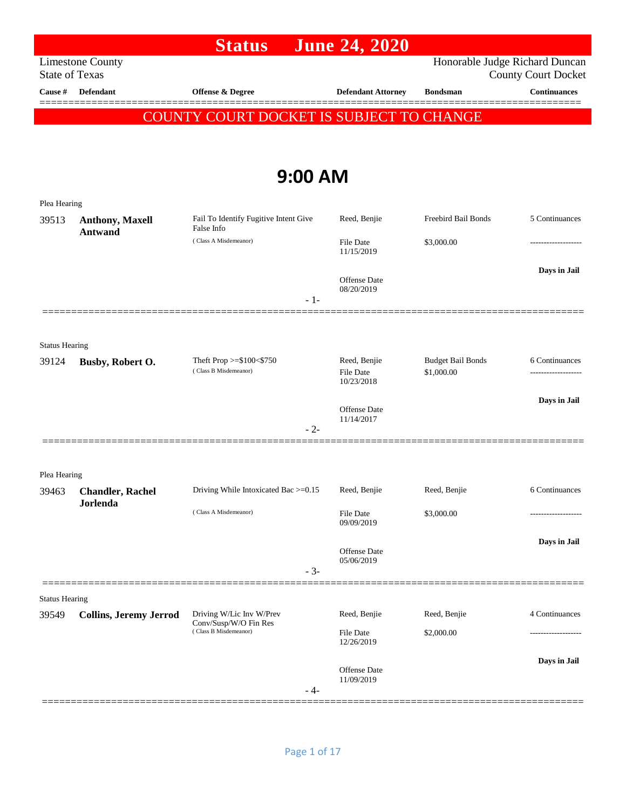|                                |                                                  | <b>Status</b>                                       | <b>June 24, 2020</b>             |                                        |                                                   |
|--------------------------------|--------------------------------------------------|-----------------------------------------------------|----------------------------------|----------------------------------------|---------------------------------------------------|
|                                | <b>Limestone County</b><br><b>State of Texas</b> |                                                     |                                  | Honorable Judge Richard Duncan         |                                                   |
| Cause #                        | <b>Defendant</b>                                 | Offense & Degree                                    | <b>Defendant Attorney</b>        | <b>Bondsman</b>                        | <b>County Court Docket</b><br><b>Continuances</b> |
|                                |                                                  |                                                     |                                  |                                        |                                                   |
|                                |                                                  | COUNTY COURT DOCKET IS SUBJECT TO CHANGE            |                                  |                                        |                                                   |
|                                |                                                  |                                                     |                                  |                                        |                                                   |
|                                |                                                  | 9:00 AM                                             |                                  |                                        |                                                   |
| Plea Hearing                   |                                                  |                                                     |                                  |                                        |                                                   |
| 39513                          | Anthony, Maxell<br><b>Antwand</b>                | Fail To Identify Fugitive Intent Give<br>False Info | Reed, Benjie                     | Freebird Bail Bonds                    | 5 Continuances                                    |
|                                |                                                  | (Class A Misdemeanor)                               | File Date<br>11/15/2019          | \$3,000.00                             | ----------------                                  |
|                                |                                                  |                                                     | Offense Date                     |                                        | Days in Jail                                      |
|                                |                                                  | $-1-$                                               | 08/20/2019                       |                                        |                                                   |
|                                | 2000000000000                                    |                                                     |                                  |                                        |                                                   |
| <b>Status Hearing</b>          |                                                  |                                                     |                                  |                                        |                                                   |
| 39124                          | Busby, Robert O.                                 | Theft Prop >=\$100<\$750<br>(Class B Misdemeanor)   | Reed, Benjie<br><b>File Date</b> | <b>Budget Bail Bonds</b><br>\$1,000.00 | 6 Continuances                                    |
|                                |                                                  |                                                     | 10/23/2018                       |                                        |                                                   |
|                                |                                                  |                                                     | Offense Date                     |                                        | Days in Jail                                      |
|                                |                                                  | $-2-$                                               | 11/14/2017                       |                                        |                                                   |
|                                |                                                  |                                                     |                                  |                                        |                                                   |
| Plea Hearing                   |                                                  |                                                     |                                  |                                        |                                                   |
|                                | 39463 Chandler, Rachel                           | Driving While Intoxicated Bac >=0.15 Reed, Benjie   |                                  | Reed, Benjie                           | 6 Continuances                                    |
|                                | Jorlenda                                         | (Class A Misdemeanor)                               | <b>File Date</b><br>09/09/2019   | \$3,000.00                             |                                                   |
|                                |                                                  |                                                     |                                  |                                        | Days in Jail                                      |
|                                |                                                  | $-3-$                                               | Offense Date<br>05/06/2019       |                                        |                                                   |
|                                |                                                  |                                                     |                                  |                                        |                                                   |
| <b>Status Hearing</b><br>39549 | <b>Collins, Jeremy Jerrod</b>                    | Driving W/Lic Inv W/Prev                            | Reed, Benjie                     | Reed, Benjie                           | 4 Continuances                                    |
|                                |                                                  | Conv/Susp/W/O Fin Res<br>(Class B Misdemeanor)      | File Date                        | \$2,000.00                             | ------------------                                |
|                                |                                                  |                                                     | 12/26/2019                       |                                        |                                                   |
|                                |                                                  |                                                     | Offense Date<br>11/09/2019       |                                        | Days in Jail                                      |
|                                |                                                  | - 4-                                                |                                  |                                        |                                                   |
|                                |                                                  |                                                     |                                  |                                        |                                                   |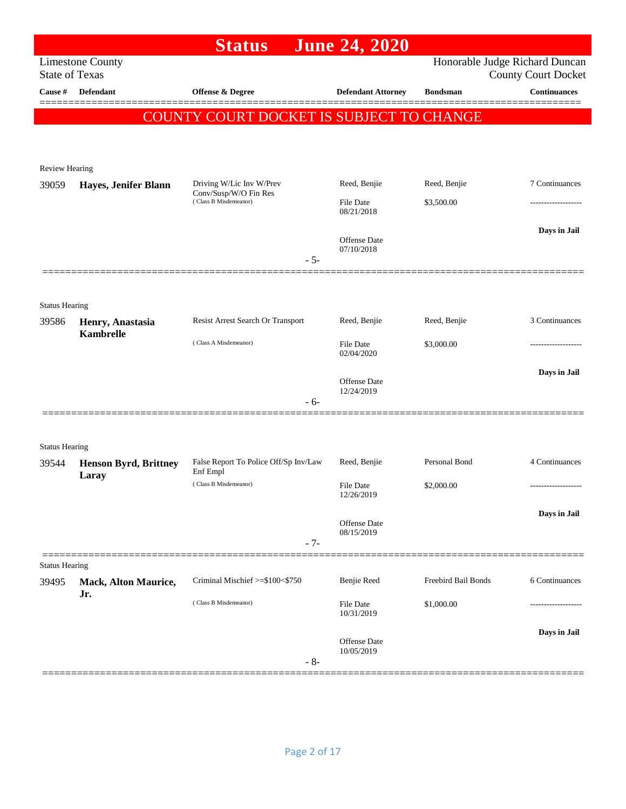|                       |                              | <b>Status</b>                                  | <b>June 24, 2020</b>       |                     |                                                              |
|-----------------------|------------------------------|------------------------------------------------|----------------------------|---------------------|--------------------------------------------------------------|
| <b>State of Texas</b> | <b>Limestone County</b>      |                                                |                            |                     | Honorable Judge Richard Duncan<br><b>County Court Docket</b> |
| Cause #               | <b>Defendant</b>             | Offense & Degree                               | <b>Defendant Attorney</b>  | <b>Bondsman</b>     | <b>Continuances</b>                                          |
|                       |                              | COUNTY COURT DOCKET IS SUBJECT TO CHANGE       |                            |                     |                                                              |
|                       |                              |                                                |                            |                     |                                                              |
|                       |                              |                                                |                            |                     |                                                              |
| Review Hearing        |                              | Driving W/Lic Inv W/Prev                       | Reed, Benjie               | Reed, Benjie        | 7 Continuances                                               |
| 39059                 | Hayes, Jenifer Blann         | Conv/Susp/W/O Fin Res<br>(Class B Misdemeanor) | <b>File Date</b>           | \$3,500.00          | ----------------                                             |
|                       |                              |                                                | 08/21/2018                 |                     |                                                              |
|                       |                              |                                                | <b>Offense Date</b>        |                     | Days in Jail                                                 |
|                       |                              | $-5-$                                          | 07/10/2018                 |                     |                                                              |
|                       |                              |                                                |                            |                     |                                                              |
| <b>Status Hearing</b> |                              |                                                |                            |                     |                                                              |
| 39586                 | Henry, Anastasia             | Resist Arrest Search Or Transport              | Reed, Benjie               | Reed, Benjie        | 3 Continuances                                               |
|                       | <b>Kambrelle</b>             | (Class A Misdemeanor)                          | <b>File Date</b>           | \$3,000.00          |                                                              |
|                       |                              |                                                | 02/04/2020                 |                     |                                                              |
|                       |                              |                                                | Offense Date               |                     | Days in Jail                                                 |
|                       |                              | $-6-$                                          | 12/24/2019                 |                     |                                                              |
|                       |                              |                                                |                            |                     |                                                              |
| <b>Status Hearing</b> |                              |                                                |                            |                     |                                                              |
| 39544                 | <b>Henson Byrd, Brittney</b> | False Report To Police Off/Sp Inv/Law          | Reed, Benjie               | Personal Bond       | 4 Continuances                                               |
|                       | Laray                        | Enf Empl<br>(Class B Misdemeanor)              | <b>File Date</b>           | \$2,000.00          |                                                              |
|                       |                              |                                                | 12/26/2019                 |                     |                                                              |
|                       |                              |                                                | <b>Offense Date</b>        |                     | Days in Jail                                                 |
|                       |                              | $-7-$                                          | 08/15/2019                 |                     |                                                              |
| <b>Status Hearing</b> |                              |                                                |                            |                     |                                                              |
| 39495                 | <b>Mack, Alton Maurice,</b>  | Criminal Mischief >=\$100<\$750                | Benjie Reed                | Freebird Bail Bonds | 6 Continuances                                               |
|                       | Jr.                          | (Class B Misdemeanor)                          | File Date<br>10/31/2019    | \$1,000.00          | .                                                            |
|                       |                              |                                                |                            |                     | Days in Jail                                                 |
|                       |                              |                                                | Offense Date<br>10/05/2019 |                     |                                                              |
|                       |                              | $-8-$                                          |                            |                     |                                                              |
|                       |                              |                                                |                            |                     |                                                              |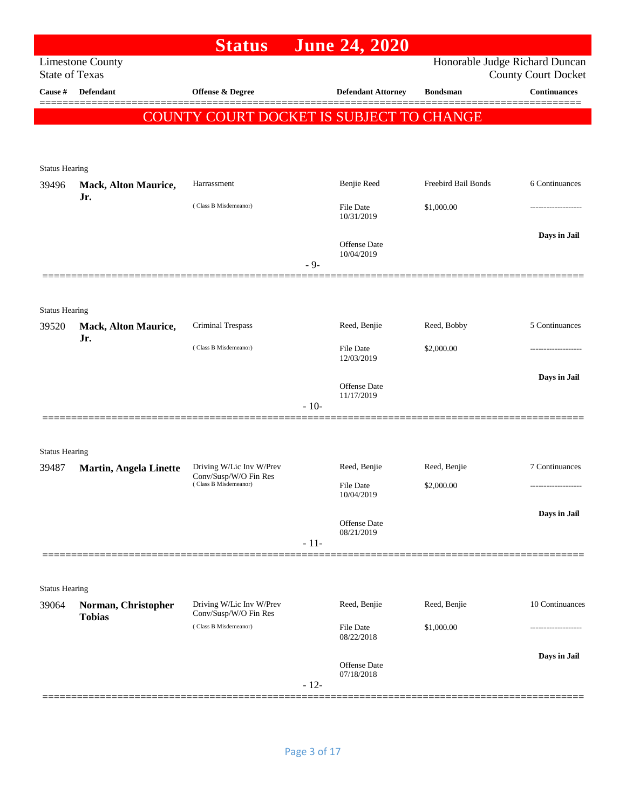|                                |                                    | <b>Status</b>                                     |        | <b>June 24, 2020</b>           |                     |                                                              |
|--------------------------------|------------------------------------|---------------------------------------------------|--------|--------------------------------|---------------------|--------------------------------------------------------------|
| <b>State of Texas</b>          | <b>Limestone County</b>            |                                                   |        |                                |                     | Honorable Judge Richard Duncan<br><b>County Court Docket</b> |
| Cause #                        | <b>Defendant</b>                   | Offense & Degree                                  |        | <b>Defendant Attorney</b>      | <b>Bondsman</b>     | <b>Continuances</b>                                          |
|                                |                                    | COUNTY COURT DOCKET IS SUBJECT TO CHANGE          |        |                                |                     |                                                              |
|                                |                                    |                                                   |        |                                |                     |                                                              |
|                                |                                    |                                                   |        |                                |                     |                                                              |
| <b>Status Hearing</b><br>39496 | <b>Mack, Alton Maurice,</b>        | Harrassment                                       |        | Benjie Reed                    | Freebird Bail Bonds | 6 Continuances                                               |
|                                | Jr.                                |                                                   |        |                                |                     |                                                              |
|                                |                                    | (Class B Misdemeanor)                             |        | <b>File Date</b><br>10/31/2019 | \$1,000.00          |                                                              |
|                                |                                    |                                                   |        |                                |                     | Days in Jail                                                 |
|                                |                                    |                                                   |        | Offense Date<br>10/04/2019     |                     |                                                              |
|                                |                                    |                                                   | $-9-$  |                                |                     |                                                              |
|                                |                                    |                                                   |        |                                |                     |                                                              |
| <b>Status Hearing</b>          |                                    |                                                   |        |                                |                     |                                                              |
| 39520                          | <b>Mack, Alton Maurice,</b><br>Jr. | Criminal Trespass                                 |        | Reed, Benjie                   | Reed, Bobby         | 5 Continuances                                               |
|                                |                                    | (Class B Misdemeanor)                             |        | File Date<br>12/03/2019        | \$2,000.00          | ----------------                                             |
|                                |                                    |                                                   |        |                                |                     | Days in Jail                                                 |
|                                |                                    |                                                   |        | Offense Date<br>11/17/2019     |                     |                                                              |
|                                |                                    |                                                   | $-10-$ |                                |                     |                                                              |
|                                |                                    |                                                   |        |                                |                     |                                                              |
| <b>Status Hearing</b>          |                                    |                                                   |        |                                |                     |                                                              |
| 39487                          | <b>Martin, Angela Linette</b>      | Driving W/Lic Inv W/Prev<br>Conv/Susp/W/O Fin Res |        | Reed, Benjie                   | Reed, Benjie        | 7 Continuances                                               |
|                                |                                    | (Class B Misdemeanor)                             |        | File Date<br>10/04/2019        | \$2,000.00          | -------------------                                          |
|                                |                                    |                                                   |        |                                |                     | Days in Jail                                                 |
|                                |                                    |                                                   |        | Offense Date<br>08/21/2019     |                     |                                                              |
|                                |                                    |                                                   | $-11-$ |                                |                     |                                                              |
|                                |                                    |                                                   |        |                                |                     |                                                              |
| <b>Status Hearing</b>          |                                    |                                                   |        |                                |                     |                                                              |
| 39064                          | Norman, Christopher                | Driving W/Lic Inv W/Prev<br>Conv/Susp/W/O Fin Res |        | Reed, Benjie                   | Reed, Benjie        | 10 Continuances                                              |
|                                | <b>Tobias</b>                      | (Class B Misdemeanor)                             |        | File Date                      | \$1,000.00          |                                                              |
|                                |                                    |                                                   |        | 08/22/2018                     |                     |                                                              |
|                                |                                    |                                                   |        | <b>Offense Date</b>            |                     | Days in Jail                                                 |
|                                |                                    |                                                   | $-12-$ | 07/18/2018                     |                     |                                                              |
|                                |                                    |                                                   |        |                                |                     |                                                              |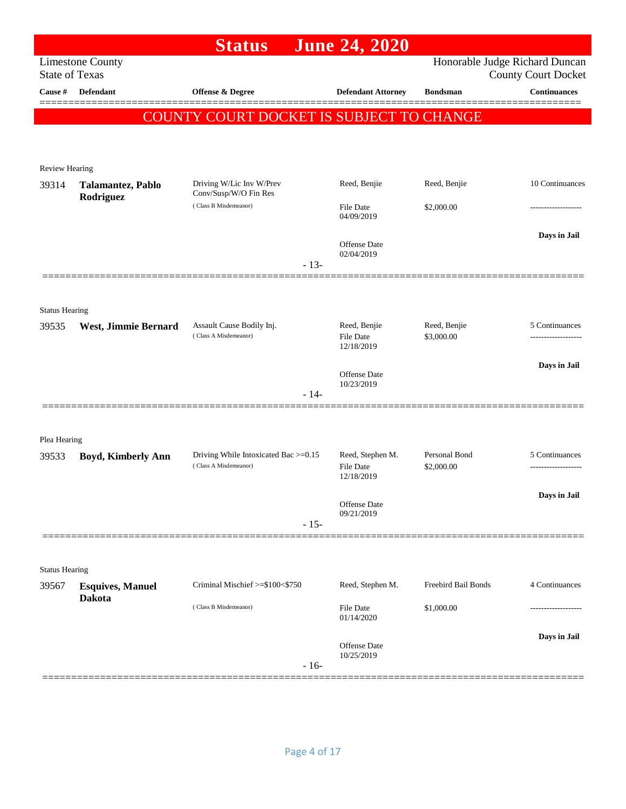|                       |                                          | <b>Status</b>                                      | <b>June 24, 2020</b>                           |                                |                                                   |
|-----------------------|------------------------------------------|----------------------------------------------------|------------------------------------------------|--------------------------------|---------------------------------------------------|
| <b>State of Texas</b> | <b>Limestone County</b>                  |                                                    |                                                | Honorable Judge Richard Duncan |                                                   |
| Cause #               | Defendant                                | Offense & Degree                                   | <b>Defendant Attorney</b>                      | <b>Bondsman</b>                | <b>County Court Docket</b><br><b>Continuances</b> |
|                       |                                          |                                                    |                                                |                                | ======                                            |
|                       |                                          | COUNTY COURT DOCKET IS SUBJECT TO CHANGE           |                                                |                                |                                                   |
|                       |                                          |                                                    |                                                |                                |                                                   |
| Review Hearing        |                                          |                                                    |                                                |                                |                                                   |
| 39314                 | Talamantez, Pablo                        | Driving W/Lic Inv W/Prev<br>Conv/Susp/W/O Fin Res  | Reed, Benjie                                   | Reed, Benjie                   | 10 Continuances                                   |
|                       | Rodriguez                                | (Class B Misdemeanor)                              | <b>File Date</b><br>04/09/2019                 | \$2,000.00                     | .                                                 |
|                       |                                          |                                                    |                                                |                                | Days in Jail                                      |
|                       |                                          |                                                    | <b>Offense Date</b><br>02/04/2019              |                                |                                                   |
|                       |                                          | $-13-$                                             |                                                |                                |                                                   |
|                       |                                          |                                                    |                                                |                                |                                                   |
| <b>Status Hearing</b> |                                          |                                                    |                                                |                                |                                                   |
| 39535                 | West, Jimmie Bernard                     | Assault Cause Bodily Inj.<br>(Class A Misdemeanor) | Reed, Benjie<br><b>File Date</b><br>12/18/2019 | Reed, Benjie<br>\$3,000.00     | 5 Continuances<br>-----------------               |
|                       |                                          |                                                    |                                                |                                | Days in Jail                                      |
|                       |                                          | $-14-$                                             | Offense Date<br>10/23/2019                     |                                |                                                   |
|                       |                                          |                                                    |                                                |                                |                                                   |
|                       |                                          |                                                    |                                                |                                |                                                   |
| Plea Hearing<br>39533 | <b>Boyd, Kimberly Ann</b>                | Driving While Intoxicated Bac >=0.15               | Reed, Stephen M.                               | Personal Bond                  | 5 Continuances                                    |
|                       |                                          | (Class A Misdemeanor)                              | <b>File Date</b><br>12/18/2019                 | \$2,000.00                     | -------------------                               |
|                       |                                          |                                                    |                                                |                                | Days in Jail                                      |
|                       |                                          |                                                    | Offense Date<br>09/21/2019                     |                                |                                                   |
|                       |                                          | $-15-$                                             |                                                |                                |                                                   |
|                       |                                          |                                                    |                                                |                                |                                                   |
| <b>Status Hearing</b> |                                          |                                                    |                                                |                                |                                                   |
| 39567                 | <b>Esquives, Manuel</b><br><b>Dakota</b> | Criminal Mischief >=\$100<\$750                    | Reed, Stephen M.                               | Freebird Bail Bonds            | 4 Continuances                                    |
|                       |                                          | (Class B Misdemeanor)                              | <b>File Date</b><br>01/14/2020                 | \$1,000.00                     |                                                   |
|                       |                                          |                                                    | Offense Date                                   |                                | Days in Jail                                      |
|                       |                                          | $-16-$                                             | 10/25/2019                                     |                                |                                                   |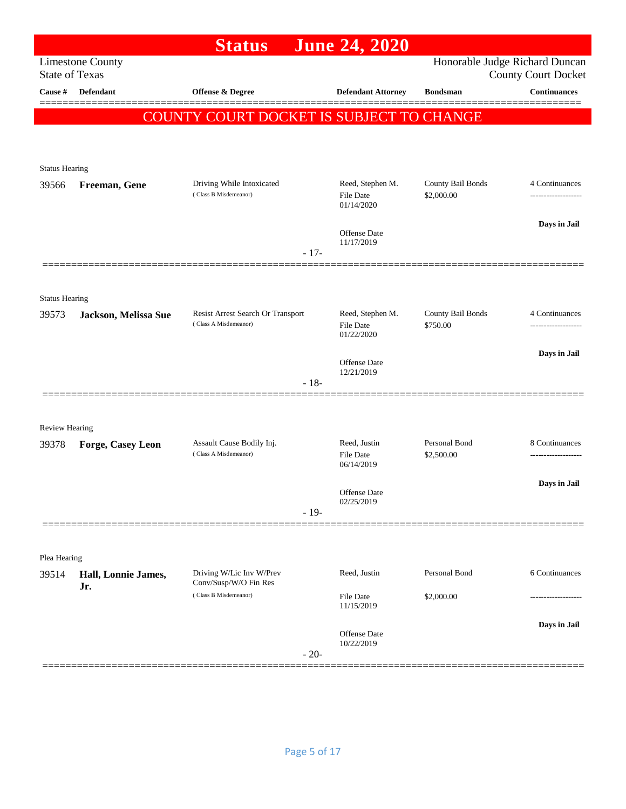|                                |                         | <b>Status</b>                                      | <b>June 24, 2020</b>             |                             |                                                              |
|--------------------------------|-------------------------|----------------------------------------------------|----------------------------------|-----------------------------|--------------------------------------------------------------|
| <b>State of Texas</b>          | <b>Limestone County</b> |                                                    |                                  |                             | Honorable Judge Richard Duncan<br><b>County Court Docket</b> |
| Cause #                        | Defendant               | Offense & Degree                                   | <b>Defendant Attorney</b>        | <b>Bondsman</b>             | <b>Continuances</b>                                          |
|                                |                         | COUNTY COURT DOCKET IS SUBJECT TO CHANGE           |                                  |                             |                                                              |
|                                |                         |                                                    |                                  |                             |                                                              |
|                                |                         |                                                    |                                  |                             |                                                              |
| <b>Status Hearing</b>          |                         |                                                    | Reed, Stephen M.                 | County Bail Bonds           | 4 Continuances                                               |
| 39566                          | Freeman, Gene           | Driving While Intoxicated<br>(Class B Misdemeanor) | <b>File Date</b><br>01/14/2020   | \$2,000.00                  |                                                              |
|                                |                         |                                                    | <b>Offense</b> Date              |                             | Days in Jail                                                 |
|                                |                         | $-17-$                                             | 11/17/2019                       |                             |                                                              |
|                                |                         |                                                    |                                  |                             |                                                              |
|                                |                         |                                                    |                                  |                             |                                                              |
| <b>Status Hearing</b><br>39573 | Jackson, Melissa Sue    | Resist Arrest Search Or Transport                  | Reed, Stephen M.                 | County Bail Bonds           | 4 Continuances                                               |
|                                |                         | (Class A Misdemeanor)                              | <b>File Date</b><br>01/22/2020   | \$750.00                    |                                                              |
|                                |                         |                                                    |                                  |                             | Days in Jail                                                 |
|                                |                         |                                                    | Offense Date<br>12/21/2019       |                             |                                                              |
|                                |                         | $-18-$                                             |                                  |                             |                                                              |
|                                |                         |                                                    |                                  |                             |                                                              |
| <b>Review Hearing</b>          |                         |                                                    |                                  |                             |                                                              |
| 39378                          | Forge, Casey Leon       | Assault Cause Bodily Inj.<br>(Class A Misdemeanor) | Reed, Justin<br><b>File Date</b> | Personal Bond<br>\$2,500.00 | 8 Continuances<br>-------------------                        |
|                                |                         |                                                    | 06/14/2019                       |                             |                                                              |
|                                |                         |                                                    | Offense Date                     |                             | Days in Jail                                                 |
|                                |                         | $-19-$                                             | 02/25/2019                       |                             |                                                              |
|                                |                         |                                                    |                                  |                             |                                                              |
| Plea Hearing                   |                         |                                                    |                                  |                             |                                                              |
| 39514                          | Hall, Lonnie James,     | Driving W/Lic Inv W/Prev                           | Reed, Justin                     | Personal Bond               | 6 Continuances                                               |
|                                | Jr.                     | Conv/Susp/W/O Fin Res<br>(Class B Misdemeanor)     | <b>File Date</b>                 | \$2,000.00                  |                                                              |
|                                |                         |                                                    | 11/15/2019                       |                             |                                                              |
|                                |                         |                                                    | Offense Date                     |                             | Days in Jail                                                 |
|                                |                         | $-20-$                                             | 10/22/2019                       |                             |                                                              |
|                                |                         |                                                    |                                  |                             |                                                              |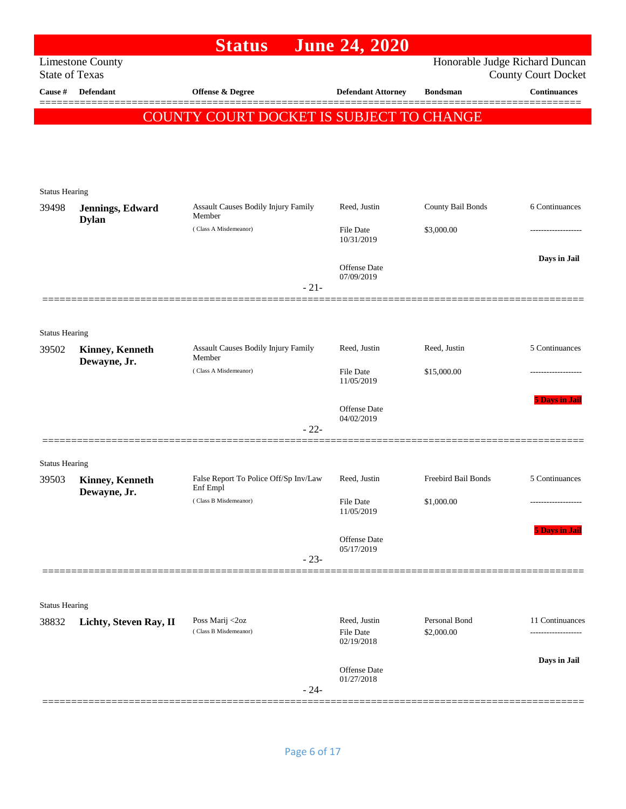|                       |                                  | <b>Status</b>                                 | <b>June 24, 2020</b>                    |                             |                                                              |
|-----------------------|----------------------------------|-----------------------------------------------|-----------------------------------------|-----------------------------|--------------------------------------------------------------|
| <b>State of Texas</b> | <b>Limestone County</b>          |                                               |                                         |                             | Honorable Judge Richard Duncan<br><b>County Court Docket</b> |
| Cause #               | Defendant                        | Offense & Degree                              | <b>Defendant Attorney</b>               | <b>Bondsman</b>             | <b>Continuances</b><br>=======                               |
|                       |                                  | COUNTY COURT DOCKET IS SUBJECT TO CHANGE      |                                         |                             |                                                              |
|                       |                                  |                                               |                                         |                             |                                                              |
|                       |                                  |                                               |                                         |                             |                                                              |
| <b>Status Hearing</b> |                                  |                                               |                                         |                             |                                                              |
| 39498                 | Jennings, Edward<br><b>Dylan</b> | Assault Causes Bodily Injury Family<br>Member | Reed, Justin                            | County Bail Bonds           | 6 Continuances                                               |
|                       |                                  | (Class A Misdemeanor)                         | File Date<br>10/31/2019                 | \$3,000.00                  |                                                              |
|                       |                                  |                                               | Offense Date                            |                             | Days in Jail                                                 |
|                       |                                  | $-21-$                                        | 07/09/2019                              |                             |                                                              |
|                       |                                  |                                               |                                         |                             |                                                              |
| <b>Status Hearing</b> |                                  |                                               |                                         |                             |                                                              |
| 39502                 | <b>Kinney, Kenneth</b>           | Assault Causes Bodily Injury Family           | Reed, Justin                            | Reed, Justin                | 5 Continuances                                               |
|                       | Dewayne, Jr.                     | Member<br>(Class A Misdemeanor)               | <b>File Date</b><br>11/05/2019          | \$15,000.00                 |                                                              |
|                       |                                  |                                               |                                         |                             | <b>5 Days in Jail</b>                                        |
|                       |                                  | $-22-$                                        | <b>Offense</b> Date<br>04/02/2019       |                             |                                                              |
|                       |                                  |                                               |                                         |                             |                                                              |
| <b>Status Hearing</b> |                                  | False Report To Police Off/Sp Inv/Law         | Reed, Justin                            | Freebird Bail Bonds         | 5 Continuances                                               |
| 39503                 | Kinney, Kenneth<br>Dewayne, Jr.  | Enf Empl                                      |                                         |                             |                                                              |
|                       |                                  | (Class B Misdemeanor)                         | File Date<br>11/05/2019                 | \$1,000.00                  |                                                              |
|                       |                                  |                                               | Offense Date                            |                             | <b>5 Days in Jail</b>                                        |
|                       |                                  | $-23-$                                        | 05/17/2019                              |                             |                                                              |
|                       |                                  |                                               |                                         |                             |                                                              |
| <b>Status Hearing</b> |                                  |                                               |                                         |                             |                                                              |
| 38832                 | Lichty, Steven Ray, II           | Poss Marij <2oz<br>(Class B Misdemeanor)      | Reed, Justin<br>File Date<br>02/19/2018 | Personal Bond<br>\$2,000.00 | 11 Continuances                                              |
|                       |                                  |                                               |                                         |                             | Days in Jail                                                 |
|                       |                                  | $-24-$                                        | Offense Date<br>01/27/2018              |                             |                                                              |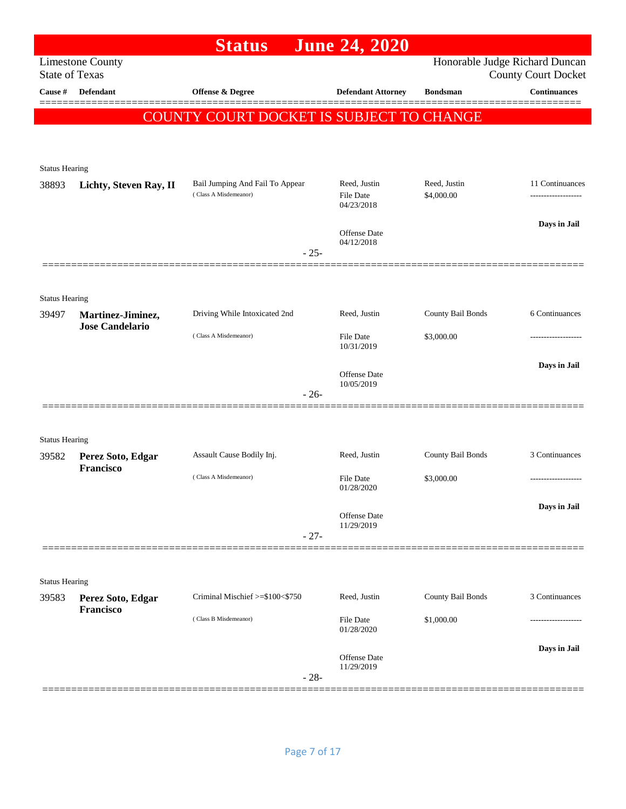|                       |                                | <b>Status</b>                                            | <b>June 24, 2020</b>                           |                            |                                                              |
|-----------------------|--------------------------------|----------------------------------------------------------|------------------------------------------------|----------------------------|--------------------------------------------------------------|
| <b>State of Texas</b> | <b>Limestone County</b>        |                                                          |                                                |                            | Honorable Judge Richard Duncan<br><b>County Court Docket</b> |
| Cause $\#$            | Defendant                      | Offense & Degree                                         | <b>Defendant Attorney</b>                      | <b>Bondsman</b>            | <b>Continuances</b>                                          |
|                       |                                | COUNTY COURT DOCKET IS SUBJECT TO CHANGE                 |                                                |                            |                                                              |
|                       |                                |                                                          |                                                |                            |                                                              |
|                       |                                |                                                          |                                                |                            |                                                              |
| <b>Status Hearing</b> |                                |                                                          |                                                |                            |                                                              |
| 38893                 | Lichty, Steven Ray, II         | Bail Jumping And Fail To Appear<br>(Class A Misdemeanor) | Reed, Justin<br><b>File Date</b><br>04/23/2018 | Reed, Justin<br>\$4,000.00 | 11 Continuances<br>-------------------                       |
|                       |                                |                                                          |                                                |                            | Days in Jail                                                 |
|                       |                                | $-25-$                                                   | Offense Date<br>04/12/2018                     |                            |                                                              |
|                       |                                |                                                          |                                                |                            |                                                              |
| <b>Status Hearing</b> |                                |                                                          |                                                |                            |                                                              |
| 39497                 | Martinez-Jiminez,              | Driving While Intoxicated 2nd                            | Reed, Justin                                   | County Bail Bonds          | 6 Continuances                                               |
|                       | <b>Jose Candelario</b>         | (Class A Misdemeanor)                                    | <b>File Date</b><br>10/31/2019                 | \$3,000.00                 | -------------------                                          |
|                       |                                |                                                          |                                                |                            | Days in Jail                                                 |
|                       |                                |                                                          | <b>Offense</b> Date<br>10/05/2019              |                            |                                                              |
|                       |                                | $-26-$                                                   |                                                |                            |                                                              |
|                       |                                |                                                          |                                                |                            |                                                              |
| <b>Status Hearing</b> |                                |                                                          |                                                |                            |                                                              |
| 39582                 | Perez Soto, Edgar<br>Francisco | Assault Cause Bodily Inj.                                | Reed, Justin                                   | County Bail Bonds          | 3 Continuances                                               |
|                       |                                | (Class A Misdemeanor)                                    | <b>File Date</b><br>01/28/2020                 | \$3,000.00                 | ------------------                                           |
|                       |                                |                                                          |                                                |                            | Days in Jail                                                 |
|                       |                                |                                                          | Offense Date<br>11/29/2019                     |                            |                                                              |
|                       |                                | $-27-$                                                   |                                                |                            |                                                              |
|                       |                                |                                                          |                                                |                            |                                                              |
| <b>Status Hearing</b> |                                |                                                          |                                                |                            |                                                              |
| 39583                 | Perez Soto, Edgar<br>Francisco | Criminal Mischief >=\$100<\$750                          | Reed, Justin                                   | County Bail Bonds          | 3 Continuances                                               |
|                       |                                | (Class B Misdemeanor)                                    | File Date<br>01/28/2020                        | \$1,000.00                 |                                                              |
|                       |                                |                                                          |                                                |                            | Days in Jail                                                 |
|                       |                                | $-28-$                                                   | Offense Date<br>11/29/2019                     |                            |                                                              |
|                       |                                |                                                          |                                                |                            |                                                              |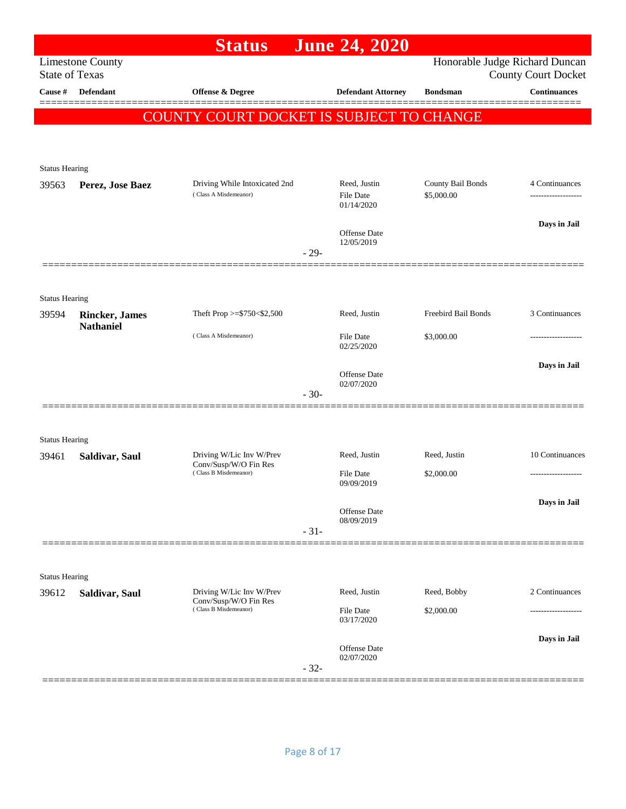| Honorable Judge Richard Duncan<br><b>Limestone County</b><br><b>State of Texas</b><br>Cause #<br><b>Defendant</b><br><b>Offense &amp; Degree</b><br><b>Defendant Attorney</b><br><b>Bondsman</b><br>COUNTY COURT DOCKET IS SUBJECT TO CHANGE<br><b>Status Hearing</b><br>County Bail Bonds<br>Driving While Intoxicated 2nd<br>Reed, Justin<br>Perez, Jose Baez<br>39563<br>(Class A Misdemeanor)<br><b>File Date</b><br>\$5,000.00<br>01/14/2020<br>Offense Date<br>12/05/2019<br>$-29-$<br><b>Status Hearing</b><br>Reed, Justin<br>Freebird Bail Bonds<br>Theft Prop >= $$750<$2,500$<br><b>Rincker</b> , James<br>39594<br><b>Nathaniel</b><br>(Class A Misdemeanor)<br><b>File Date</b><br>\$3,000.00<br>02/25/2020<br>Offense Date<br>02/07/2020<br>$-30-$<br><b>Status Hearing</b><br>Driving W/Lic Inv W/Prev<br>Reed, Justin<br>Reed, Justin<br>39461<br>Saldivar, Saul<br>Conv/Susp/W/O Fin Res<br>(Class B Misdemeanor)<br>\$2,000.00<br><b>File Date</b><br>09/09/2019<br>Offense Date<br>08/09/2019<br>$-31-$<br><b>Status Hearing</b><br>Driving W/Lic Inv W/Prev<br>Reed, Justin<br>Reed, Bobby<br>39612<br>Saldivar, Saul<br>Conv/Susp/W/O Fin Res |                            | <b>June 24, 2020</b> | <b>Status</b> |  |
|--------------------------------------------------------------------------------------------------------------------------------------------------------------------------------------------------------------------------------------------------------------------------------------------------------------------------------------------------------------------------------------------------------------------------------------------------------------------------------------------------------------------------------------------------------------------------------------------------------------------------------------------------------------------------------------------------------------------------------------------------------------------------------------------------------------------------------------------------------------------------------------------------------------------------------------------------------------------------------------------------------------------------------------------------------------------------------------------------------------------------------------------------------------------|----------------------------|----------------------|---------------|--|
|                                                                                                                                                                                                                                                                                                                                                                                                                                                                                                                                                                                                                                                                                                                                                                                                                                                                                                                                                                                                                                                                                                                                                                    | <b>County Court Docket</b> |                      |               |  |
|                                                                                                                                                                                                                                                                                                                                                                                                                                                                                                                                                                                                                                                                                                                                                                                                                                                                                                                                                                                                                                                                                                                                                                    | <b>Continuances</b>        |                      |               |  |
|                                                                                                                                                                                                                                                                                                                                                                                                                                                                                                                                                                                                                                                                                                                                                                                                                                                                                                                                                                                                                                                                                                                                                                    |                            |                      |               |  |
|                                                                                                                                                                                                                                                                                                                                                                                                                                                                                                                                                                                                                                                                                                                                                                                                                                                                                                                                                                                                                                                                                                                                                                    |                            |                      |               |  |
|                                                                                                                                                                                                                                                                                                                                                                                                                                                                                                                                                                                                                                                                                                                                                                                                                                                                                                                                                                                                                                                                                                                                                                    |                            |                      |               |  |
|                                                                                                                                                                                                                                                                                                                                                                                                                                                                                                                                                                                                                                                                                                                                                                                                                                                                                                                                                                                                                                                                                                                                                                    |                            |                      |               |  |
|                                                                                                                                                                                                                                                                                                                                                                                                                                                                                                                                                                                                                                                                                                                                                                                                                                                                                                                                                                                                                                                                                                                                                                    | 4 Continuances             |                      |               |  |
|                                                                                                                                                                                                                                                                                                                                                                                                                                                                                                                                                                                                                                                                                                                                                                                                                                                                                                                                                                                                                                                                                                                                                                    | Days in Jail               |                      |               |  |
|                                                                                                                                                                                                                                                                                                                                                                                                                                                                                                                                                                                                                                                                                                                                                                                                                                                                                                                                                                                                                                                                                                                                                                    |                            |                      |               |  |
|                                                                                                                                                                                                                                                                                                                                                                                                                                                                                                                                                                                                                                                                                                                                                                                                                                                                                                                                                                                                                                                                                                                                                                    |                            |                      |               |  |
|                                                                                                                                                                                                                                                                                                                                                                                                                                                                                                                                                                                                                                                                                                                                                                                                                                                                                                                                                                                                                                                                                                                                                                    |                            |                      |               |  |
|                                                                                                                                                                                                                                                                                                                                                                                                                                                                                                                                                                                                                                                                                                                                                                                                                                                                                                                                                                                                                                                                                                                                                                    | 3 Continuances             |                      |               |  |
|                                                                                                                                                                                                                                                                                                                                                                                                                                                                                                                                                                                                                                                                                                                                                                                                                                                                                                                                                                                                                                                                                                                                                                    | .                          |                      |               |  |
|                                                                                                                                                                                                                                                                                                                                                                                                                                                                                                                                                                                                                                                                                                                                                                                                                                                                                                                                                                                                                                                                                                                                                                    | Days in Jail               |                      |               |  |
|                                                                                                                                                                                                                                                                                                                                                                                                                                                                                                                                                                                                                                                                                                                                                                                                                                                                                                                                                                                                                                                                                                                                                                    |                            |                      |               |  |
|                                                                                                                                                                                                                                                                                                                                                                                                                                                                                                                                                                                                                                                                                                                                                                                                                                                                                                                                                                                                                                                                                                                                                                    |                            |                      |               |  |
|                                                                                                                                                                                                                                                                                                                                                                                                                                                                                                                                                                                                                                                                                                                                                                                                                                                                                                                                                                                                                                                                                                                                                                    |                            |                      |               |  |
|                                                                                                                                                                                                                                                                                                                                                                                                                                                                                                                                                                                                                                                                                                                                                                                                                                                                                                                                                                                                                                                                                                                                                                    | 10 Continuances            |                      |               |  |
|                                                                                                                                                                                                                                                                                                                                                                                                                                                                                                                                                                                                                                                                                                                                                                                                                                                                                                                                                                                                                                                                                                                                                                    | -------------------        |                      |               |  |
|                                                                                                                                                                                                                                                                                                                                                                                                                                                                                                                                                                                                                                                                                                                                                                                                                                                                                                                                                                                                                                                                                                                                                                    | Days in Jail               |                      |               |  |
|                                                                                                                                                                                                                                                                                                                                                                                                                                                                                                                                                                                                                                                                                                                                                                                                                                                                                                                                                                                                                                                                                                                                                                    |                            |                      |               |  |
|                                                                                                                                                                                                                                                                                                                                                                                                                                                                                                                                                                                                                                                                                                                                                                                                                                                                                                                                                                                                                                                                                                                                                                    |                            |                      |               |  |
|                                                                                                                                                                                                                                                                                                                                                                                                                                                                                                                                                                                                                                                                                                                                                                                                                                                                                                                                                                                                                                                                                                                                                                    |                            |                      |               |  |
|                                                                                                                                                                                                                                                                                                                                                                                                                                                                                                                                                                                                                                                                                                                                                                                                                                                                                                                                                                                                                                                                                                                                                                    |                            |                      |               |  |
|                                                                                                                                                                                                                                                                                                                                                                                                                                                                                                                                                                                                                                                                                                                                                                                                                                                                                                                                                                                                                                                                                                                                                                    | 2 Continuances             |                      |               |  |
| (Class B Misdemeanor)<br>\$2,000.00<br>File Date<br>03/17/2020                                                                                                                                                                                                                                                                                                                                                                                                                                                                                                                                                                                                                                                                                                                                                                                                                                                                                                                                                                                                                                                                                                     |                            |                      |               |  |
|                                                                                                                                                                                                                                                                                                                                                                                                                                                                                                                                                                                                                                                                                                                                                                                                                                                                                                                                                                                                                                                                                                                                                                    | Days in Jail               |                      |               |  |
| Offense Date<br>02/07/2020<br>$-32-$                                                                                                                                                                                                                                                                                                                                                                                                                                                                                                                                                                                                                                                                                                                                                                                                                                                                                                                                                                                                                                                                                                                               |                            |                      |               |  |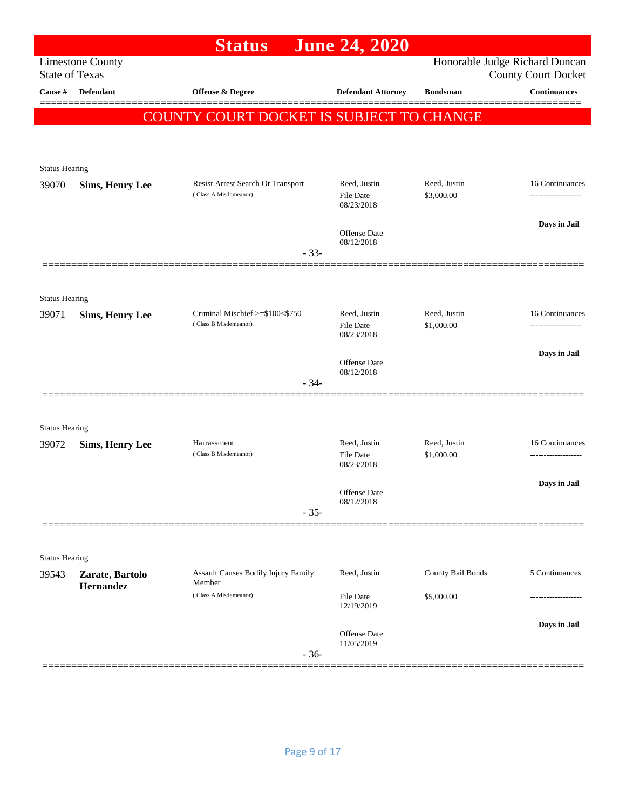|                                |                              | <b>Status</b>                                              | <b>June 24, 2020</b>                           |                            |                                                              |
|--------------------------------|------------------------------|------------------------------------------------------------|------------------------------------------------|----------------------------|--------------------------------------------------------------|
| <b>State of Texas</b>          | <b>Limestone County</b>      |                                                            |                                                |                            | Honorable Judge Richard Duncan<br><b>County Court Docket</b> |
| Cause #                        | Defendant                    | Offense & Degree                                           | <b>Defendant Attorney</b>                      | <b>Bondsman</b>            | <b>Continuances</b>                                          |
|                                |                              | COUNTY COURT DOCKET IS SUBJECT TO CHANGE                   |                                                |                            |                                                              |
|                                |                              |                                                            |                                                |                            |                                                              |
|                                |                              |                                                            |                                                |                            |                                                              |
| <b>Status Hearing</b>          |                              |                                                            |                                                |                            |                                                              |
| 39070                          | <b>Sims, Henry Lee</b>       | Resist Arrest Search Or Transport<br>(Class A Misdemeanor) | Reed, Justin<br><b>File Date</b><br>08/23/2018 | Reed, Justin<br>\$3,000.00 | 16 Continuances<br>------------------                        |
|                                |                              | $-33-$                                                     | Offense Date<br>08/12/2018                     |                            | Days in Jail                                                 |
|                                |                              |                                                            |                                                |                            |                                                              |
| <b>Status Hearing</b>          |                              |                                                            |                                                |                            |                                                              |
| 39071                          | <b>Sims, Henry Lee</b>       | Criminal Mischief >=\$100<\$750<br>(Class B Misdemeanor)   | Reed, Justin<br><b>File Date</b><br>08/23/2018 | Reed, Justin<br>\$1,000.00 | 16 Continuances<br>-----------------                         |
|                                |                              |                                                            |                                                |                            | Days in Jail                                                 |
|                                |                              | $-34-$                                                     | <b>Offense</b> Date<br>08/12/2018              |                            |                                                              |
|                                |                              |                                                            |                                                |                            |                                                              |
| <b>Status Hearing</b>          |                              |                                                            |                                                |                            |                                                              |
| 39072                          | <b>Sims, Henry Lee</b>       | Harrassment                                                | Reed, Justin                                   | Reed, Justin               | 16 Continuances                                              |
|                                |                              | (Class B Misdemeanor)                                      | <b>File Date</b><br>08/23/2018                 | \$1,000.00                 | ---------------                                              |
|                                |                              |                                                            |                                                |                            | Days in Jail                                                 |
|                                |                              |                                                            | Offense Date<br>08/12/2018                     |                            |                                                              |
|                                |                              | $-35-$                                                     |                                                |                            |                                                              |
|                                |                              |                                                            |                                                |                            |                                                              |
| <b>Status Hearing</b><br>39543 |                              | Assault Causes Bodily Injury Family                        | Reed, Justin                                   | County Bail Bonds          | 5 Continuances                                               |
|                                | Zarate, Bartolo<br>Hernandez | Member<br>(Class A Misdemeanor)                            | File Date                                      | \$5,000.00                 |                                                              |
|                                |                              |                                                            |                                                |                            |                                                              |
|                                |                              |                                                            | Offense Date<br>11/05/2019                     |                            | Days in Jail                                                 |
|                                |                              | $-36-$                                                     | 12/19/2019                                     |                            |                                                              |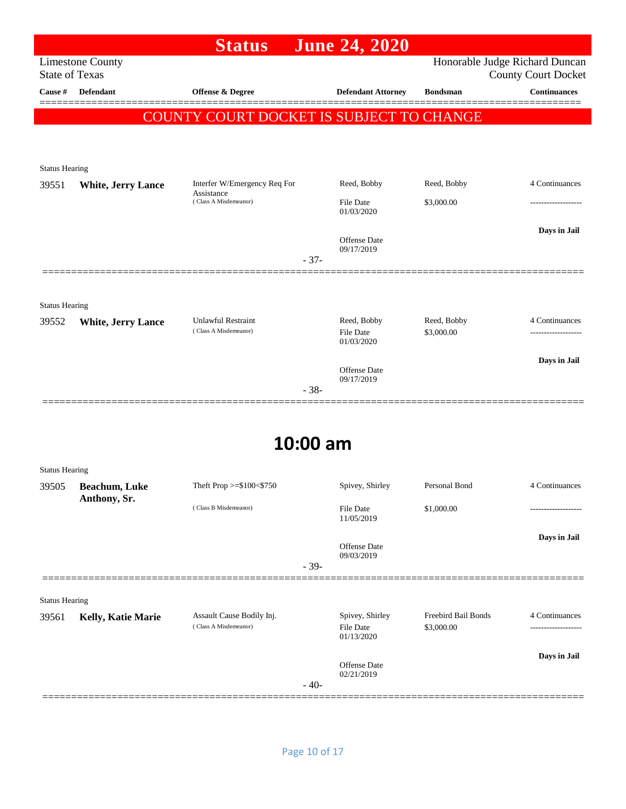|                       |                           | <b>Status</b>                                      | <b>June 24, 2020</b>                          |                           |                                                              |
|-----------------------|---------------------------|----------------------------------------------------|-----------------------------------------------|---------------------------|--------------------------------------------------------------|
| <b>State of Texas</b> | <b>Limestone County</b>   |                                                    |                                               |                           | Honorable Judge Richard Duncan<br><b>County Court Docket</b> |
| Cause #               | <b>Defendant</b>          | <b>Offense &amp; Degree</b>                        | <b>Defendant Attorney</b>                     | <b>Bondsman</b>           | <b>Continuances</b>                                          |
|                       |                           | COUNTY COURT DOCKET IS SUBJECT TO CHANGE           |                                               |                           |                                                              |
|                       |                           |                                                    |                                               |                           |                                                              |
| <b>Status Hearing</b> |                           |                                                    |                                               |                           |                                                              |
| 39551                 | <b>White, Jerry Lance</b> | Interfer W/Emergency Req For                       | Reed, Bobby                                   | Reed, Bobby               | 4 Continuances                                               |
|                       |                           | Assistance<br>(Class A Misdemeanor)                | <b>File Date</b><br>01/03/2020                | \$3,000.00                |                                                              |
|                       |                           |                                                    | <b>Offense</b> Date<br>09/17/2019<br>$-37-$   |                           | Days in Jail                                                 |
| <b>Status Hearing</b> |                           |                                                    |                                               |                           |                                                              |
| 39552                 | <b>White, Jerry Lance</b> | <b>Unlawful Restraint</b><br>(Class A Misdemeanor) | Reed, Bobby<br><b>File Date</b><br>01/03/2020 | Reed, Bobby<br>\$3,000.00 | 4 Continuances<br>-------------------                        |
|                       |                           |                                                    | Offense Date<br>09/17/2019<br>$-38-$          |                           | Days in Jail                                                 |
|                       |                           |                                                    | 10:00 am                                      |                           |                                                              |

## **10:00 am**

| <b>Status Hearing</b> |                                      |                                                    |        |                                                   |                                   |                |
|-----------------------|--------------------------------------|----------------------------------------------------|--------|---------------------------------------------------|-----------------------------------|----------------|
| 39505                 | <b>Beachum, Luke</b><br>Anthony, Sr. | Theft Prop $>=\$100<\$750$                         |        | Spivey, Shirley                                   | Personal Bond                     | 4 Continuances |
|                       |                                      | (Class B Misdemeanor)                              |        | <b>File Date</b><br>11/05/2019                    | \$1,000.00                        | ------------   |
|                       |                                      |                                                    | $-39-$ | <b>Offense Date</b><br>09/03/2019                 |                                   | Days in Jail   |
|                       |                                      |                                                    |        |                                                   |                                   |                |
| <b>Status Hearing</b> |                                      |                                                    |        |                                                   |                                   |                |
| 39561                 | Kelly, Katie Marie                   | Assault Cause Bodily Inj.<br>(Class A Misdemeanor) |        | Spivey, Shirley<br><b>File Date</b><br>01/13/2020 | Freebird Bail Bonds<br>\$3,000.00 | 4 Continuances |
|                       |                                      |                                                    |        | <b>Offense</b> Date<br>02/21/2019                 |                                   | Days in Jail   |
|                       |                                      |                                                    | $-40-$ |                                                   |                                   |                |
|                       |                                      |                                                    |        |                                                   |                                   |                |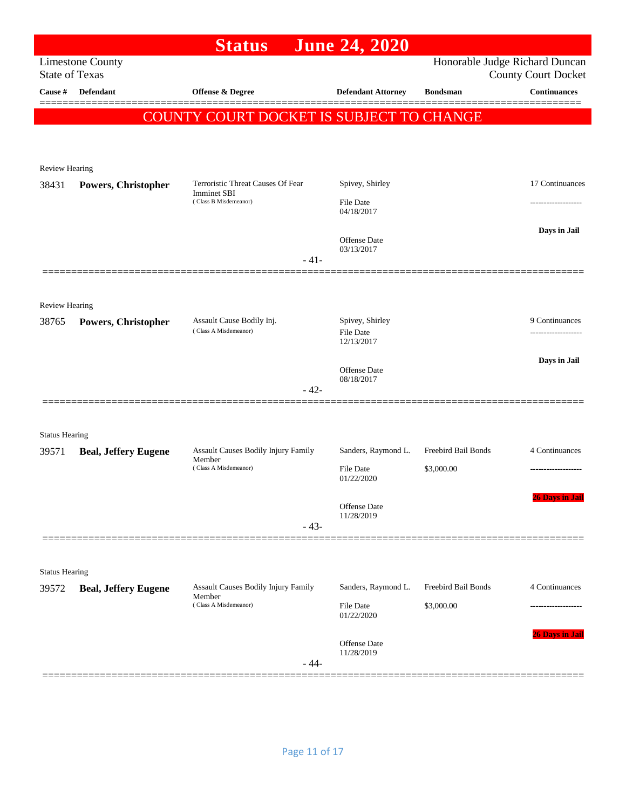|                       |                             | <b>Status</b>                                           | <b>June 24, 2020</b>                |                     |                                                              |
|-----------------------|-----------------------------|---------------------------------------------------------|-------------------------------------|---------------------|--------------------------------------------------------------|
| <b>State of Texas</b> | <b>Limestone County</b>     |                                                         |                                     |                     | Honorable Judge Richard Duncan<br><b>County Court Docket</b> |
| Cause #               | <b>Defendant</b>            | <b>Offense &amp; Degree</b>                             | <b>Defendant Attorney</b>           | <b>Bondsman</b>     | <b>Continuances</b>                                          |
|                       |                             | COUNTY COURT DOCKET IS SUBJECT TO CHANGE                |                                     |                     |                                                              |
|                       |                             |                                                         |                                     |                     |                                                              |
|                       |                             |                                                         |                                     |                     |                                                              |
| <b>Review Hearing</b> |                             |                                                         |                                     |                     |                                                              |
| 38431                 | Powers, Christopher         | Terroristic Threat Causes Of Fear<br><b>Imminet SBI</b> | Spivey, Shirley                     |                     | 17 Continuances                                              |
|                       |                             | (Class B Misdemeanor)                                   | <b>File Date</b><br>04/18/2017      |                     | .                                                            |
|                       |                             |                                                         |                                     |                     | Days in Jail                                                 |
|                       |                             |                                                         | <b>Offense</b> Date<br>03/13/2017   |                     |                                                              |
|                       |                             | $-41-$                                                  |                                     |                     |                                                              |
|                       |                             |                                                         |                                     |                     |                                                              |
| <b>Review Hearing</b> |                             |                                                         |                                     |                     |                                                              |
| 38765                 | Powers, Christopher         | Assault Cause Bodily Inj.<br>(Class A Misdemeanor)      | Spivey, Shirley<br><b>File Date</b> |                     | 9 Continuances                                               |
|                       |                             |                                                         | 12/13/2017                          |                     |                                                              |
|                       |                             |                                                         | Offense Date                        |                     | Days in Jail                                                 |
|                       |                             | $-42-$                                                  | 08/18/2017                          |                     |                                                              |
|                       |                             |                                                         |                                     |                     |                                                              |
| <b>Status Hearing</b> |                             |                                                         |                                     |                     |                                                              |
| 39571                 | <b>Beal, Jeffery Eugene</b> | <b>Assault Causes Bodily Injury Family</b>              | Sanders, Raymond L.                 | Freebird Bail Bonds | 4 Continuances                                               |
|                       |                             | Member<br>(Class A Misdemeanor)                         | <b>File Date</b>                    | \$3,000.00          | -------------------                                          |
|                       |                             |                                                         | 01/22/2020                          |                     | 26 Days in Jail                                              |
|                       |                             |                                                         | <b>Offense</b> Date<br>11/28/2019   |                     |                                                              |
|                       |                             | $-43-$                                                  |                                     |                     |                                                              |
|                       |                             |                                                         |                                     |                     |                                                              |
| <b>Status Hearing</b> |                             |                                                         |                                     |                     |                                                              |
| 39572                 | <b>Beal, Jeffery Eugene</b> | <b>Assault Causes Bodily Injury Family</b><br>Member    | Sanders, Raymond L.                 | Freebird Bail Bonds | 4 Continuances                                               |
|                       |                             | (Class A Misdemeanor)                                   | <b>File Date</b><br>01/22/2020      | \$3,000.00          |                                                              |
|                       |                             |                                                         |                                     |                     | 26 Days in Jail                                              |
|                       |                             |                                                         | Offense Date<br>11/28/2019          |                     |                                                              |
|                       |                             | $-44-$                                                  |                                     |                     |                                                              |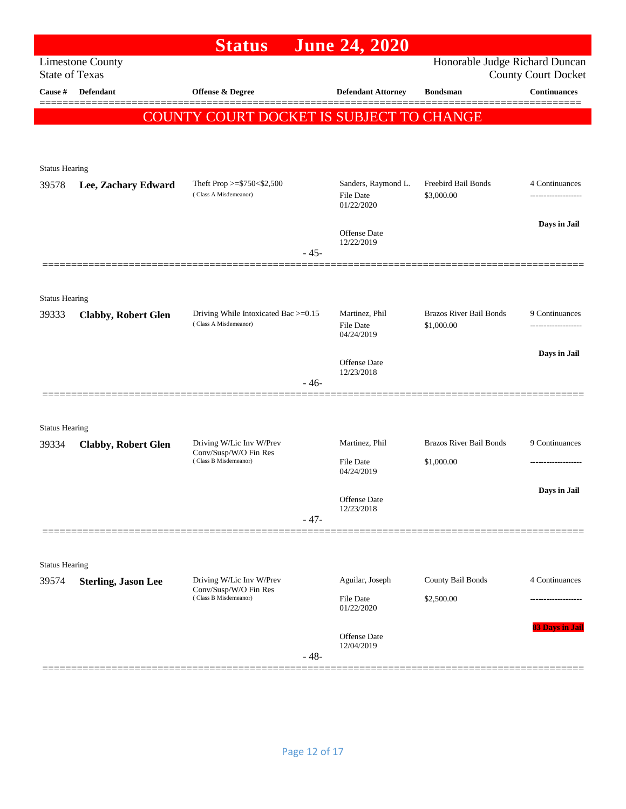|                                |                            | <b>Status</b>                                                 |        | <b>June 24, 2020</b>              |                                              |                            |
|--------------------------------|----------------------------|---------------------------------------------------------------|--------|-----------------------------------|----------------------------------------------|----------------------------|
| <b>State of Texas</b>          | <b>Limestone County</b>    |                                                               |        |                                   | Honorable Judge Richard Duncan               | <b>County Court Docket</b> |
| Cause #                        | <b>Defendant</b>           | Offense & Degree                                              |        | <b>Defendant Attorney</b>         | <b>Bondsman</b>                              | <b>Continuances</b>        |
|                                |                            | COUNTY COURT DOCKET IS SUBJECT TO CHANGE                      |        |                                   |                                              |                            |
|                                |                            |                                                               |        |                                   |                                              |                            |
| <b>Status Hearing</b>          |                            |                                                               |        |                                   |                                              |                            |
| 39578                          | Lee, Zachary Edward        | Theft Prop >=\$750<\$2,500                                    |        | Sanders, Raymond L.               | Freebird Bail Bonds                          | 4 Continuances             |
|                                |                            | (Class A Misdemeanor)                                         |        | File Date<br>01/22/2020           | \$3,000.00                                   | -------------------        |
|                                |                            |                                                               |        | Offense Date                      |                                              | Days in Jail               |
|                                |                            |                                                               | $-45-$ | 12/22/2019                        |                                              |                            |
|                                |                            |                                                               |        |                                   |                                              |                            |
| <b>Status Hearing</b>          |                            |                                                               |        |                                   |                                              |                            |
| 39333                          | <b>Clabby, Robert Glen</b> | Driving While Intoxicated Bac >=0.15<br>(Class A Misdemeanor) |        | Martinez, Phil<br>File Date       | <b>Brazos River Bail Bonds</b><br>\$1,000.00 | 9 Continuances             |
|                                |                            |                                                               |        | 04/24/2019                        |                                              |                            |
|                                |                            |                                                               |        | <b>Offense Date</b><br>12/23/2018 |                                              | Days in Jail               |
|                                |                            |                                                               | - 46-  |                                   |                                              |                            |
|                                |                            |                                                               |        |                                   |                                              |                            |
| <b>Status Hearing</b><br>39334 | <b>Clabby, Robert Glen</b> | Driving W/Lic Inv W/Prev                                      |        | Martinez, Phil                    | <b>Brazos River Bail Bonds</b>               | 9 Continuances             |
|                                |                            | Conv/Susp/W/O Fin Res<br>(Class B Misdemeanor)                |        | File Date                         | \$1,000.00                                   |                            |
|                                |                            |                                                               |        | 04/24/2019                        |                                              | Days in Jail               |
|                                |                            |                                                               |        | Offense Date<br>12/23/2018        |                                              |                            |
|                                |                            |                                                               | $-47-$ |                                   |                                              |                            |
|                                |                            |                                                               |        |                                   |                                              |                            |
| <b>Status Hearing</b><br>39574 | <b>Sterling, Jason Lee</b> | Driving W/Lic Inv W/Prev                                      |        | Aguilar, Joseph                   | County Bail Bonds                            | 4 Continuances             |
|                                |                            | Conv/Susp/W/O Fin Res<br>(Class B Misdemeanor)                |        | File Date                         | \$2,500.00                                   |                            |
|                                |                            |                                                               |        | 01/22/2020                        |                                              | 83 Days in Jail            |
|                                |                            |                                                               |        | Offense Date<br>12/04/2019        |                                              |                            |
|                                |                            |                                                               | $-48-$ |                                   |                                              |                            |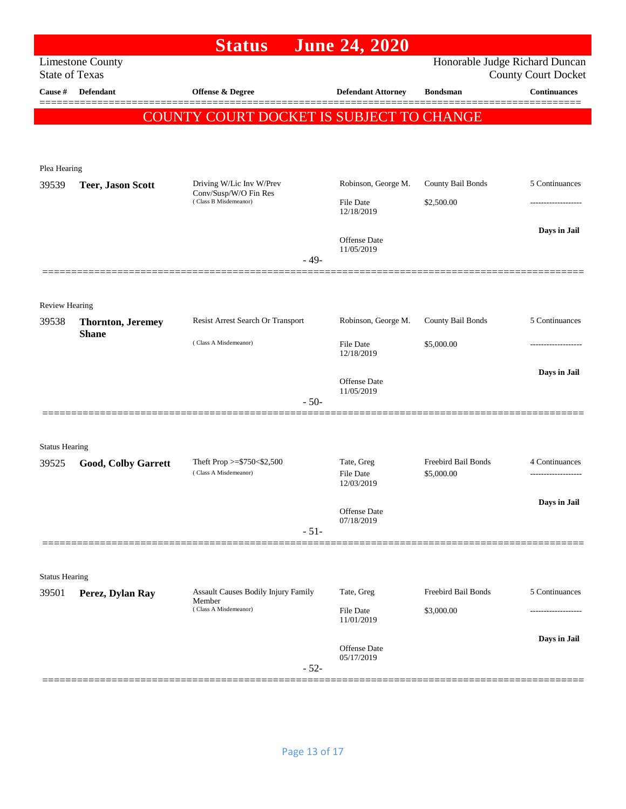|                                  |                                          | <b>Status</b>                                     |        | <b>June 24, 2020</b>           |                     |                                                   |
|----------------------------------|------------------------------------------|---------------------------------------------------|--------|--------------------------------|---------------------|---------------------------------------------------|
|                                  | <b>Limestone County</b>                  |                                                   |        |                                |                     | Honorable Judge Richard Duncan                    |
| <b>State of Texas</b><br>Cause # | Defendant                                | Offense & Degree                                  |        | <b>Defendant Attorney</b>      | <b>Bondsman</b>     | <b>County Court Docket</b><br><b>Continuances</b> |
|                                  |                                          |                                                   |        |                                |                     |                                                   |
|                                  |                                          | COUNTY COURT DOCKET IS SUBJECT TO CHANGE          |        |                                |                     |                                                   |
|                                  |                                          |                                                   |        |                                |                     |                                                   |
| Plea Hearing                     |                                          |                                                   |        |                                |                     |                                                   |
| 39539                            | <b>Teer, Jason Scott</b>                 | Driving W/Lic Inv W/Prev<br>Conv/Susp/W/O Fin Res |        | Robinson, George M.            | County Bail Bonds   | 5 Continuances                                    |
|                                  |                                          | (Class B Misdemeanor)                             |        | File Date<br>12/18/2019        | \$2,500.00          |                                                   |
|                                  |                                          |                                                   |        |                                |                     | Days in Jail                                      |
|                                  |                                          |                                                   |        | Offense Date<br>11/05/2019     |                     |                                                   |
|                                  |                                          |                                                   | $-49-$ |                                |                     |                                                   |
|                                  |                                          |                                                   |        |                                |                     |                                                   |
| <b>Review Hearing</b>            |                                          | Resist Arrest Search Or Transport                 |        | Robinson, George M.            | County Bail Bonds   | 5 Continuances                                    |
| 39538                            | <b>Thornton, Jeremey</b><br><b>Shane</b> |                                                   |        |                                |                     |                                                   |
|                                  |                                          | (Class A Misdemeanor)                             |        | File Date<br>12/18/2019        | \$5,000.00          | ----------------                                  |
|                                  |                                          |                                                   |        | Offense Date                   |                     | Days in Jail                                      |
|                                  |                                          |                                                   | $-50-$ | 11/05/2019                     |                     |                                                   |
|                                  |                                          |                                                   |        |                                |                     |                                                   |
|                                  |                                          |                                                   |        |                                |                     |                                                   |
| <b>Status Hearing</b><br>39525   | <b>Good, Colby Garrett</b>               | Theft Prop $>=$ \$750 < \$2,500                   |        | Tate, Greg                     | Freebird Bail Bonds | 4 Continuances                                    |
|                                  |                                          | (Class A Misdemeanor)                             |        | <b>File Date</b><br>12/03/2019 | \$5,000.00          |                                                   |
|                                  |                                          |                                                   |        |                                |                     | Days in Jail                                      |
|                                  |                                          |                                                   |        | Offense Date<br>07/18/2019     |                     |                                                   |
|                                  |                                          |                                                   | $-51-$ |                                |                     |                                                   |
|                                  |                                          |                                                   |        |                                |                     |                                                   |
| <b>Status Hearing</b>            |                                          |                                                   |        |                                |                     |                                                   |
| 39501                            | Perez, Dylan Ray                         | Assault Causes Bodily Injury Family<br>Member     |        | Tate, Greg                     | Freebird Bail Bonds | 5 Continuances                                    |
|                                  |                                          | (Class A Misdemeanor)                             |        | File Date<br>11/01/2019        | \$3,000.00          |                                                   |
|                                  |                                          |                                                   |        | Offense Date                   |                     | Days in Jail                                      |
|                                  |                                          |                                                   | $-52-$ | 05/17/2019                     |                     |                                                   |
|                                  |                                          |                                                   |        |                                |                     |                                                   |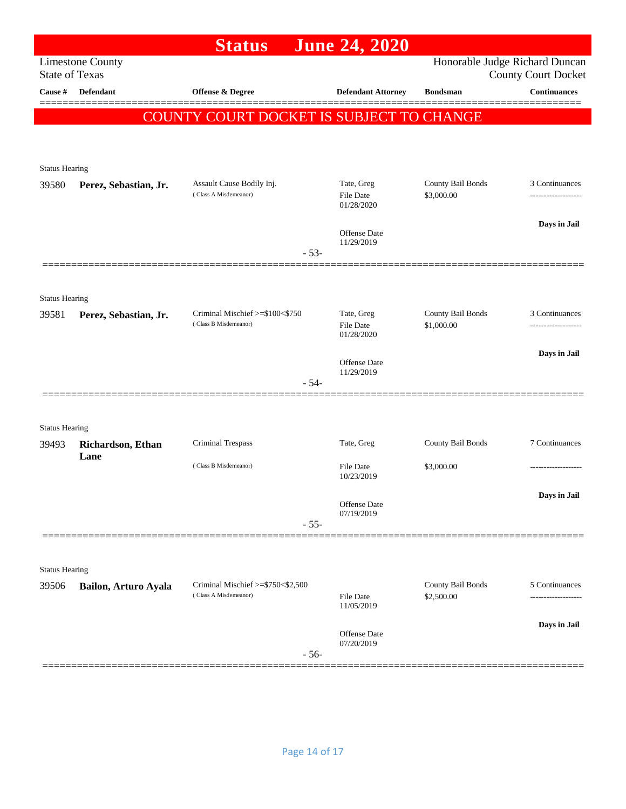|                                |                           | <b>Status</b>                                              | <b>June 24, 2020</b>                         |                                 |                                                              |
|--------------------------------|---------------------------|------------------------------------------------------------|----------------------------------------------|---------------------------------|--------------------------------------------------------------|
| <b>State of Texas</b>          | <b>Limestone County</b>   |                                                            |                                              |                                 | Honorable Judge Richard Duncan<br><b>County Court Docket</b> |
| Cause #                        | <b>Defendant</b>          | Offense & Degree                                           | <b>Defendant Attorney</b>                    | <b>Bondsman</b>                 | <b>Continuances</b>                                          |
|                                |                           | COUNTY COURT DOCKET IS SUBJECT TO CHANGE                   |                                              |                                 |                                                              |
|                                |                           |                                                            |                                              |                                 |                                                              |
| <b>Status Hearing</b>          |                           |                                                            |                                              |                                 |                                                              |
| 39580                          | Perez, Sebastian, Jr.     | Assault Cause Bodily Inj.<br>(Class A Misdemeanor)         | Tate, Greg<br><b>File Date</b><br>01/28/2020 | County Bail Bonds<br>\$3,000.00 | 3 Continuances                                               |
|                                |                           |                                                            | <b>Offense Date</b>                          |                                 | Days in Jail                                                 |
|                                |                           | $-53-$                                                     | 11/29/2019                                   |                                 |                                                              |
|                                |                           |                                                            |                                              |                                 |                                                              |
| <b>Status Hearing</b><br>39581 | Perez, Sebastian, Jr.     | Criminal Mischief >=\$100<\$750<br>(Class B Misdemeanor)   | Tate, Greg<br><b>File Date</b><br>01/28/2020 | County Bail Bonds<br>\$1,000.00 | 3 Continuances                                               |
|                                |                           |                                                            |                                              |                                 | Days in Jail                                                 |
|                                |                           | $-54-$                                                     | Offense Date<br>11/29/2019                   |                                 |                                                              |
|                                |                           |                                                            |                                              |                                 |                                                              |
| <b>Status Hearing</b>          |                           |                                                            |                                              |                                 |                                                              |
| 39493                          | Richardson, Ethan<br>Lane | Criminal Trespass                                          | Tate, Greg                                   | County Bail Bonds               | 7 Continuances                                               |
|                                |                           | (Class B Misdemeanor)                                      | File Date<br>10/23/2019                      | \$3,000.00                      |                                                              |
|                                |                           |                                                            | Offense Date<br>07/19/2019                   |                                 | Days in Jail                                                 |
|                                |                           | $-55-$                                                     |                                              |                                 |                                                              |
| <b>Status Hearing</b>          |                           |                                                            |                                              |                                 |                                                              |
| 39506                          | Bailon, Arturo Ayala      | Criminal Mischief >=\$750<\$2,500<br>(Class A Misdemeanor) | <b>File Date</b><br>11/05/2019               | County Bail Bonds<br>\$2,500.00 | 5 Continuances                                               |
|                                |                           |                                                            | Offense Date                                 |                                 | Days in Jail                                                 |
|                                |                           | $-56-$                                                     | 07/20/2019                                   |                                 |                                                              |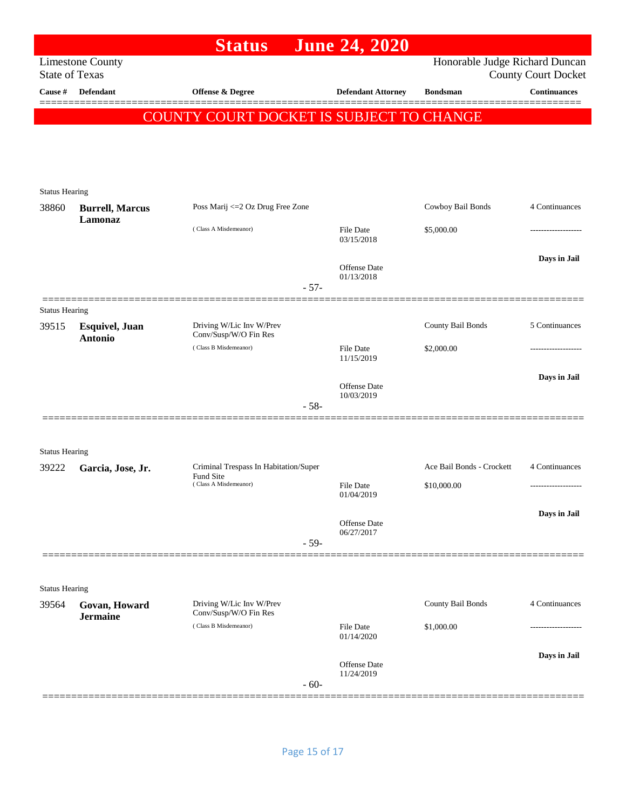|                                |                                          | <b>Status</b>                                     |        | <b>June 24, 2020</b>              |                                |                            |
|--------------------------------|------------------------------------------|---------------------------------------------------|--------|-----------------------------------|--------------------------------|----------------------------|
| <b>State of Texas</b>          | <b>Limestone County</b>                  |                                                   |        |                                   | Honorable Judge Richard Duncan | <b>County Court Docket</b> |
| Cause #                        | <b>Defendant</b>                         | <b>Offense &amp; Degree</b>                       |        | <b>Defendant Attorney</b>         | <b>Bondsman</b>                | <b>Continuances</b>        |
|                                |                                          | COUNTY COURT DOCKET IS SUBJECT TO CHANGE          |        |                                   |                                |                            |
|                                |                                          |                                                   |        |                                   |                                |                            |
|                                |                                          |                                                   |        |                                   |                                |                            |
|                                |                                          |                                                   |        |                                   |                                |                            |
| <b>Status Hearing</b>          |                                          |                                                   |        |                                   |                                |                            |
| 38860                          | <b>Burrell, Marcus</b><br>Lamonaz        | Poss Marij <= 2 Oz Drug Free Zone                 |        |                                   | Cowboy Bail Bonds              | 4 Continuances             |
|                                |                                          | (Class A Misdemeanor)                             |        | File Date<br>03/15/2018           | \$5,000.00                     | ----------------           |
|                                |                                          |                                                   |        |                                   |                                | Days in Jail               |
|                                |                                          |                                                   |        | Offense Date<br>01/13/2018        |                                |                            |
|                                |                                          |                                                   | $-57-$ |                                   |                                |                            |
| <b>Status Hearing</b><br>39515 |                                          | Driving W/Lic Inv W/Prev                          |        |                                   | County Bail Bonds              | 5 Continuances             |
|                                | <b>Esquivel</b> , Juan<br><b>Antonio</b> | Conv/Susp/W/O Fin Res                             |        |                                   |                                |                            |
|                                |                                          | (Class B Misdemeanor)                             |        | File Date<br>11/15/2019           | \$2,000.00                     | -----------------          |
|                                |                                          |                                                   |        | Offense Date                      |                                | Days in Jail               |
|                                |                                          |                                                   | $-58-$ | 10/03/2019                        |                                |                            |
|                                |                                          |                                                   |        |                                   |                                |                            |
|                                |                                          |                                                   |        |                                   |                                |                            |
| <b>Status Hearing</b><br>39222 | Garcia, Jose, Jr.                        | Criminal Trespass In Habitation/Super             |        |                                   | Ace Bail Bonds - Crockett      | 4 Continuances             |
|                                |                                          | Fund Site<br>(Class A Misdemeanor)                |        | File Date                         | \$10,000.00                    | ------------------         |
|                                |                                          |                                                   |        | 01/04/2019                        |                                |                            |
|                                |                                          |                                                   |        | Offense Date<br>06/27/2017        |                                | Days in Jail               |
|                                |                                          |                                                   | $-59-$ |                                   |                                |                            |
|                                |                                          |                                                   |        |                                   |                                |                            |
| <b>Status Hearing</b>          |                                          |                                                   |        |                                   |                                |                            |
| 39564                          | Govan, Howard<br><b>Jermaine</b>         | Driving W/Lic Inv W/Prev<br>Conv/Susp/W/O Fin Res |        |                                   | County Bail Bonds              | 4 Continuances             |
|                                |                                          | (Class B Misdemeanor)                             |        | <b>File Date</b><br>01/14/2020    | \$1,000.00                     | .                          |
|                                |                                          |                                                   |        |                                   |                                | Days in Jail               |
|                                |                                          |                                                   |        | <b>Offense Date</b><br>11/24/2019 |                                |                            |
|                                |                                          |                                                   | $-60-$ |                                   |                                |                            |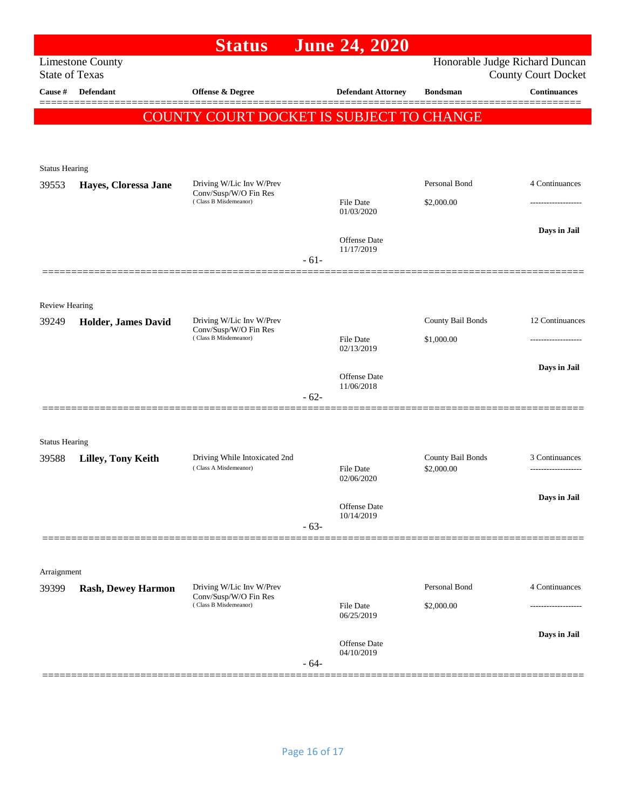|                                |                            | <b>Status</b>                                     |        | <b>June 24, 2020</b>              |                   |                                                              |
|--------------------------------|----------------------------|---------------------------------------------------|--------|-----------------------------------|-------------------|--------------------------------------------------------------|
| <b>State of Texas</b>          | <b>Limestone County</b>    |                                                   |        |                                   |                   | Honorable Judge Richard Duncan<br><b>County Court Docket</b> |
| Cause #                        | Defendant                  | <b>Offense &amp; Degree</b>                       |        | <b>Defendant Attorney</b>         | <b>Bondsman</b>   | <b>Continuances</b>                                          |
|                                |                            | COUNTY COURT DOCKET IS SUBJECT TO CHANGE          |        |                                   |                   |                                                              |
|                                |                            |                                                   |        |                                   |                   |                                                              |
|                                |                            |                                                   |        |                                   |                   |                                                              |
| <b>Status Hearing</b>          |                            |                                                   |        |                                   |                   |                                                              |
| 39553                          | Hayes, Cloressa Jane       | Driving W/Lic Inv W/Prev<br>Conv/Susp/W/O Fin Res |        |                                   | Personal Bond     | 4 Continuances                                               |
|                                |                            | (Class B Misdemeanor)                             |        | <b>File Date</b><br>01/03/2020    | \$2,000.00        | -------------------                                          |
|                                |                            |                                                   |        |                                   |                   | Days in Jail                                                 |
|                                |                            |                                                   |        | <b>Offense Date</b><br>11/17/2019 |                   |                                                              |
|                                |                            |                                                   | $-61-$ |                                   |                   |                                                              |
|                                |                            |                                                   |        |                                   |                   |                                                              |
| Review Hearing                 |                            |                                                   |        |                                   |                   |                                                              |
| 39249                          | <b>Holder, James David</b> | Driving W/Lic Inv W/Prev<br>Conv/Susp/W/O Fin Res |        |                                   | County Bail Bonds | 12 Continuances                                              |
|                                |                            | (Class B Misdemeanor)                             |        | File Date<br>02/13/2019           | \$1,000.00        | ------------------                                           |
|                                |                            |                                                   |        | <b>Offense Date</b>               |                   | Days in Jail                                                 |
|                                |                            |                                                   | $-62-$ | 11/06/2018                        |                   |                                                              |
|                                |                            |                                                   |        |                                   |                   |                                                              |
|                                |                            |                                                   |        |                                   |                   |                                                              |
| <b>Status Hearing</b><br>39588 | Lilley, Tony Keith         | Driving While Intoxicated 2nd                     |        |                                   | County Bail Bonds | 3 Continuances                                               |
|                                |                            | (Class A Misdemeanor)                             |        | File Date<br>02/06/2020           | \$2,000.00        | -------------------                                          |
|                                |                            |                                                   |        |                                   |                   | Days in Jail                                                 |
|                                |                            |                                                   |        | <b>Offense Date</b><br>10/14/2019 |                   |                                                              |
|                                |                            |                                                   | $-63-$ |                                   |                   |                                                              |
|                                |                            |                                                   |        |                                   |                   |                                                              |
| Arraignment                    |                            |                                                   |        |                                   |                   |                                                              |
| 39399                          | <b>Rash, Dewey Harmon</b>  | Driving W/Lic Inv W/Prev<br>Conv/Susp/W/O Fin Res |        |                                   | Personal Bond     | 4 Continuances                                               |
|                                |                            | (Class B Misdemeanor)                             |        | <b>File Date</b><br>06/25/2019    | \$2,000.00        |                                                              |
|                                |                            |                                                   |        |                                   |                   | Days in Jail                                                 |
|                                |                            |                                                   |        | Offense Date<br>04/10/2019        |                   |                                                              |
|                                |                            |                                                   | $-64-$ |                                   |                   |                                                              |